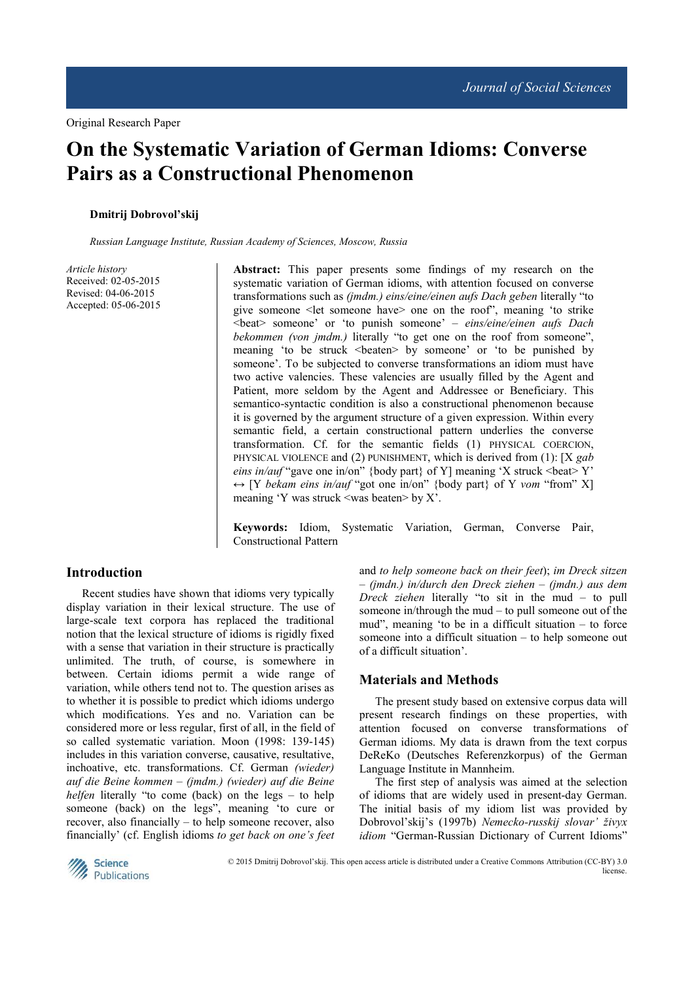# **On the Systematic Variation of German Idioms: Converse Pairs as a Constructional Phenomenon**

## **Dmitrij Dobrovol'skij**

*Russian Language Institute, Russian Academy of Sciences, Moscow, Russia* 

*Article history*  Received: 02-05-2015 Revised: 04-06-2015 Accepted: 05-06-2015 **Abstract:** This paper presents some findings of my research on the systematic variation of German idioms, with attention focused on converse transformations such as *(jmdm.) eins/eine/einen aufs Dach geben* literally "to give someone <let someone have> one on the roof", meaning 'to strike <beat> someone' or 'to punish someone' *– eins/eine/einen aufs Dach bekommen (von jmdm.)* literally "to get one on the roof from someone", meaning 'to be struck <br/>beaten> by someone' or 'to be punished by someone'. To be subjected to converse transformations an idiom must have two active valencies. These valencies are usually filled by the Agent and Patient, more seldom by the Agent and Addressee or Beneficiary. This semantico-syntactic condition is also a constructional phenomenon because it is governed by the argument structure of a given expression. Within every semantic field, a certain constructional pattern underlies the converse transformation. Cf. for the semantic fields (1) PHYSICAL COERCION, PHYSICAL VIOLENCE and (2) PUNISHMENT, which is derived from (1): [X *gab eins in/auf* "gave one in/on" {body part} of Y] meaning 'X struck <br/>beat> Y' ↔ [Y *bekam eins in/auf* "got one in/on" {body part} of Y *vom* "from" X] meaning 'Y was struck <was beaten> by X'.

**Keywords:** Idiom, Systematic Variation, German, Converse Pair, Constructional Pattern

## **Introduction**

Recent studies have shown that idioms very typically display variation in their lexical structure. The use of large-scale text corpora has replaced the traditional notion that the lexical structure of idioms is rigidly fixed with a sense that variation in their structure is practically unlimited. The truth, of course, is somewhere in between. Certain idioms permit a wide range of variation, while others tend not to. The question arises as to whether it is possible to predict which idioms undergo which modifications. Yes and no. Variation can be considered more or less regular, first of all, in the field of so called systematic variation. Moon (1998: 139-145) includes in this variation converse, causative, resultative, inchoative, etc. transformations. Cf. German *(wieder) auf die Beine kommen – (jmdm.) (wieder) auf die Beine helfen* literally "to come (back) on the legs *–* to help someone (back) on the legs", meaning 'to cure or recover, also financially *–* to help someone recover, also financially' (cf. English idioms *to get back on one's feet*

and *to help someone back on their feet*); *im Dreck sitzen – (jmdn.) in/durch den Dreck ziehen – (jmdn.) aus dem Dreck ziehen* literally "to sit in the mud *–* to pull someone in/through the mud *–* to pull someone out of the mud", meaning 'to be in a difficult situation *–* to force someone into a difficult situation *–* to help someone out of a difficult situation'.

## **Materials and Methods**

The present study based on extensive corpus data will present research findings on these properties, with attention focused on converse transformations of German idioms. My data is drawn from the text corpus DeReKo (Deutsches Referenzkorpus) of the German Language Institute in Mannheim.

The first step of analysis was aimed at the selection of idioms that are widely used in present-day German. The initial basis of my idiom list was provided by Dobrovol'skij's (1997b) *Nemecko-russkij slovar' živyx idiom* "German-Russian Dictionary of Current Idioms"



 © 2015 Dmitrij Dobrovol'skij. This open access article is distributed under a Creative Commons Attribution (CC-BY) 3.0 license.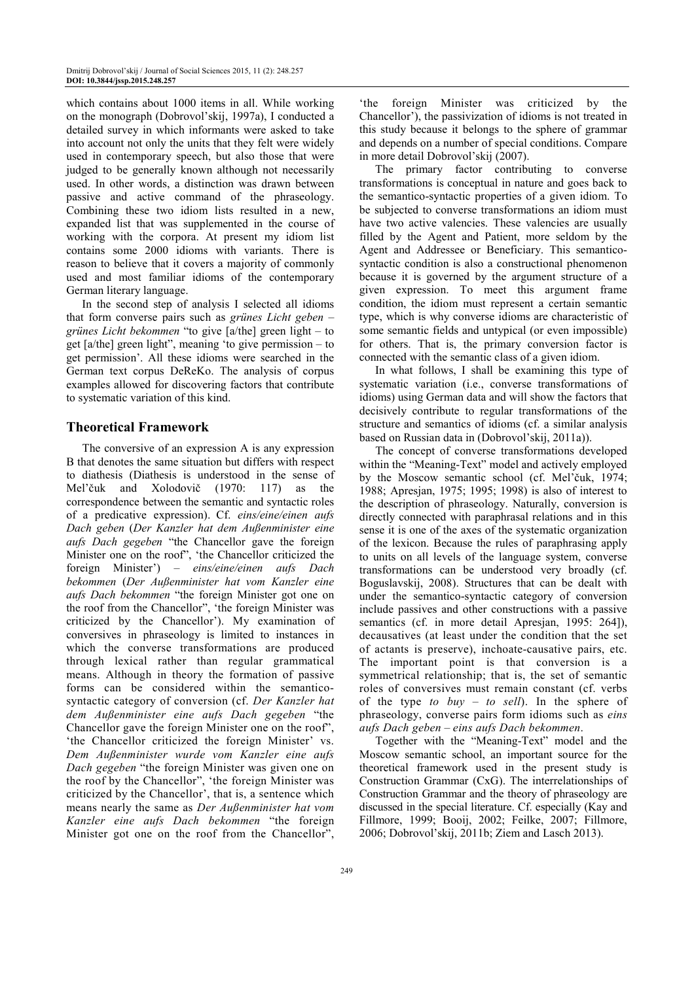which contains about 1000 items in all. While working on the monograph (Dobrovol'skij, 1997a), I conducted a detailed survey in which informants were asked to take into account not only the units that they felt were widely used in contemporary speech, but also those that were judged to be generally known although not necessarily used. In other words, a distinction was drawn between passive and active command of the phraseology. Combining these two idiom lists resulted in a new, expanded list that was supplemented in the course of working with the corpora. At present my idiom list contains some 2000 idioms with variants. There is reason to believe that it covers a majority of commonly used and most familiar idioms of the contemporary German literary language.

In the second step of analysis I selected all idioms that form converse pairs such as *grünes Licht geben – grünes Licht bekommen* "to give [a/the] green light – to get [a/the] green light", meaning 'to give permission – to get permission'. All these idioms were searched in the German text corpus DeReKo. The analysis of corpus examples allowed for discovering factors that contribute to systematic variation of this kind.

# **Theoretical Framework**

The conversive of an expression A is any expression B that denotes the same situation but differs with respect to diathesis (Diathesis is understood in the sense of Mel'čuk and Xolodovič (1970: 117) as the correspondence between the semantic and syntactic roles of a predicative expression). Cf. *eins/eine/einen aufs Dach geben* (*Der Kanzler hat dem Außenminister eine aufs Dach gegeben* "the Chancellor gave the foreign Minister one on the roof", 'the Chancellor criticized the foreign Minister') *– eins/eine/einen aufs Dach bekommen* (*Der Außenminister hat vom Kanzler eine aufs Dach bekommen* "the foreign Minister got one on the roof from the Chancellor", 'the foreign Minister was criticized by the Chancellor'). My examination of conversives in phraseology is limited to instances in which the converse transformations are produced through lexical rather than regular grammatical means. Although in theory the formation of passive forms can be considered within the semanticosyntactic category of conversion (cf. *Der Kanzler hat dem Außenminister eine aufs Dach gegeben* "the Chancellor gave the foreign Minister one on the roof", 'the Chancellor criticized the foreign Minister' vs. *Dem Außenminister wurde vom Kanzler eine aufs Dach gegeben* "the foreign Minister was given one on the roof by the Chancellor", 'the foreign Minister was criticized by the Chancellor', that is, a sentence which means nearly the same as *Der Außenminister hat vom Kanzler eine aufs Dach bekommen* "the foreign Minister got one on the roof from the Chancellor",

'the foreign Minister was criticized by the Chancellor'), the passivization of idioms is not treated in this study because it belongs to the sphere of grammar and depends on a number of special conditions. Compare in more detail Dobrovol'skij (2007).

The primary factor contributing to converse transformations is conceptual in nature and goes back to the semantico-syntactic properties of a given idiom. To be subjected to converse transformations an idiom must have two active valencies. These valencies are usually filled by the Agent and Patient, more seldom by the Agent and Addressee or Beneficiary. This semanticosyntactic condition is also a constructional phenomenon because it is governed by the argument structure of a given expression. To meet this argument frame condition, the idiom must represent a certain semantic type, which is why converse idioms are characteristic of some semantic fields and untypical (or even impossible) for others. That is, the primary conversion factor is connected with the semantic class of a given idiom.

In what follows, I shall be examining this type of systematic variation (i.e., converse transformations of idioms) using German data and will show the factors that decisively contribute to regular transformations of the structure and semantics of idioms (cf. a similar analysis based on Russian data in (Dobrovol'skij, 2011a)).

The concept of converse transformations developed within the "Meaning-Text" model and actively employed by the Moscow semantic school (cf. Mel'čuk, 1974; 1988; Apresjan, 1975; 1995; 1998) is also of interest to the description of phraseology. Naturally, conversion is directly connected with paraphrasal relations and in this sense it is one of the axes of the systematic organization of the lexicon. Because the rules of paraphrasing apply to units on all levels of the language system, converse transformations can be understood very broadly (cf. Boguslavskij, 2008). Structures that can be dealt with under the semantico-syntactic category of conversion include passives and other constructions with a passive semantics (cf. in more detail Apresjan, 1995: 264]), decausatives (at least under the condition that the set of actants is preserve), inchoate-causative pairs, etc. The important point is that conversion is a symmetrical relationship; that is, the set of semantic roles of conversives must remain constant (cf. verbs of the type *to buy – to sell*). In the sphere of phraseology, converse pairs form idioms such as *eins aufs Dach geben – eins aufs Dach bekommen*.

Together with the "Meaning-Text" model and the Moscow semantic school, an important source for the theoretical framework used in the present study is Construction Grammar (CxG). The interrelationships of Construction Grammar and the theory of phraseology are discussed in the special literature. Cf. especially (Kay and Fillmore, 1999; Booij, 2002; Feilke, 2007; Fillmore, 2006; Dobrovol'skij, 2011b; Ziem and Lasch 2013).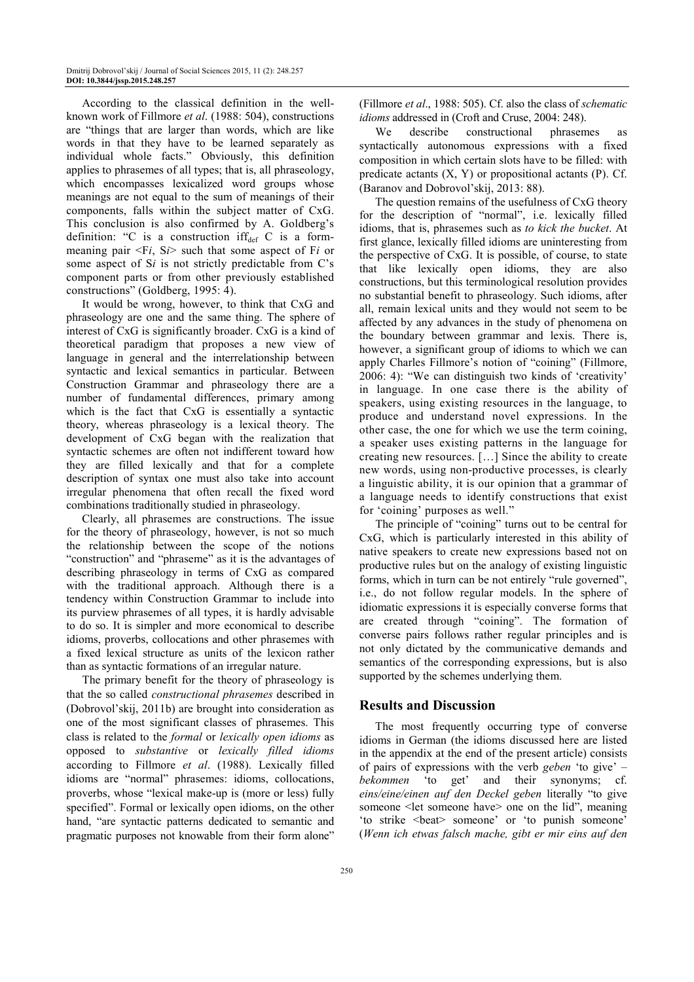According to the classical definition in the wellknown work of Fillmore *et al*. (1988: 504), constructions are "things that are larger than words, which are like words in that they have to be learned separately as individual whole facts." Obviously, this definition applies to phrasemes of all types; that is, all phraseology, which encompasses lexicalized word groups whose meanings are not equal to the sum of meanings of their components, falls within the subject matter of CxG. This conclusion is also confirmed by A. Goldberg's definition: "C is a construction if  $f_{def}$  C is a formmeaning pair <F*i*, S*i*> such that some aspect of F*i* or some aspect of S*i* is not strictly predictable from C's component parts or from other previously established constructions" (Goldberg, 1995: 4).

It would be wrong, however, to think that CxG and phraseology are one and the same thing. The sphere of interest of CxG is significantly broader. CxG is a kind of theoretical paradigm that proposes a new view of language in general and the interrelationship between syntactic and lexical semantics in particular. Between Construction Grammar and phraseology there are a number of fundamental differences, primary among which is the fact that CxG is essentially a syntactic theory, whereas phraseology is a lexical theory. The development of CxG began with the realization that syntactic schemes are often not indifferent toward how they are filled lexically and that for a complete description of syntax one must also take into account irregular phenomena that often recall the fixed word combinations traditionally studied in phraseology.

Clearly, all phrasemes are constructions. The issue for the theory of phraseology, however, is not so much the relationship between the scope of the notions "construction" and "phraseme" as it is the advantages of describing phraseology in terms of CxG as compared with the traditional approach. Although there is a tendency within Construction Grammar to include into its purview phrasemes of all types, it is hardly advisable to do so. It is simpler and more economical to describe idioms, proverbs, collocations and other phrasemes with a fixed lexical structure as units of the lexicon rather than as syntactic formations of an irregular nature.

The primary benefit for the theory of phraseology is that the so called *constructional phrasemes* described in (Dobrovol'skij, 2011b) are brought into consideration as one of the most significant classes of phrasemes. This class is related to the *formal* or *lexically open idioms* as opposed to *substantive* or *lexically filled idioms* according to Fillmore *et al*. (1988). Lexically filled idioms are "normal" phrasemes: idioms, collocations, proverbs, whose "lexical make-up is (more or less) fully specified". Formal or lexically open idioms, on the other hand, "are syntactic patterns dedicated to semantic and pragmatic purposes not knowable from their form alone" (Fillmore *et al*., 1988: 505). Cf. also the class of *schematic idioms* addressed in (Croft and Cruse, 2004: 248).

We describe constructional phrasemes as syntactically autonomous expressions with a fixed composition in which certain slots have to be filled: with predicate actants (X, Y) or propositional actants (P). Cf. (Baranov and Dobrovol'skij, 2013: 88).

The question remains of the usefulness of CxG theory for the description of "normal", i.e. lexically filled idioms, that is, phrasemes such as *to kick the bucket*. At first glance, lexically filled idioms are uninteresting from the perspective of CxG. It is possible, of course, to state that like lexically open idioms, they are also constructions, but this terminological resolution provides no substantial benefit to phraseology. Such idioms, after all, remain lexical units and they would not seem to be affected by any advances in the study of phenomena on the boundary between grammar and lexis. There is, however, a significant group of idioms to which we can apply Charles Fillmore's notion of "coining" (Fillmore, 2006: 4): "We can distinguish two kinds of 'creativity' in language. In one case there is the ability of speakers, using existing resources in the language, to produce and understand novel expressions. In the other case, the one for which we use the term coining, a speaker uses existing patterns in the language for creating new resources. […] Since the ability to create new words, using non-productive processes, is clearly a linguistic ability, it is our opinion that a grammar of a language needs to identify constructions that exist for 'coining' purposes as well."

The principle of "coining" turns out to be central for CxG, which is particularly interested in this ability of native speakers to create new expressions based not on productive rules but on the analogy of existing linguistic forms, which in turn can be not entirely "rule governed", i.e., do not follow regular models. In the sphere of idiomatic expressions it is especially converse forms that are created through "coining". The formation of converse pairs follows rather regular principles and is not only dictated by the communicative demands and semantics of the corresponding expressions, but is also supported by the schemes underlying them.

#### **Results and Discussion**

The most frequently occurring type of converse idioms in German (the idioms discussed here are listed in the appendix at the end of the present article) consists of pairs of expressions with the verb *geben* 'to give' *– bekommen* 'to get' and their synonyms; cf. *eins/eine/einen auf den Deckel geben* literally "to give someone <let someone have> one on the lid", meaning 'to strike <beat> someone' or 'to punish someone' (*Wenn ich etwas falsch mache, gibt er mir eins auf den*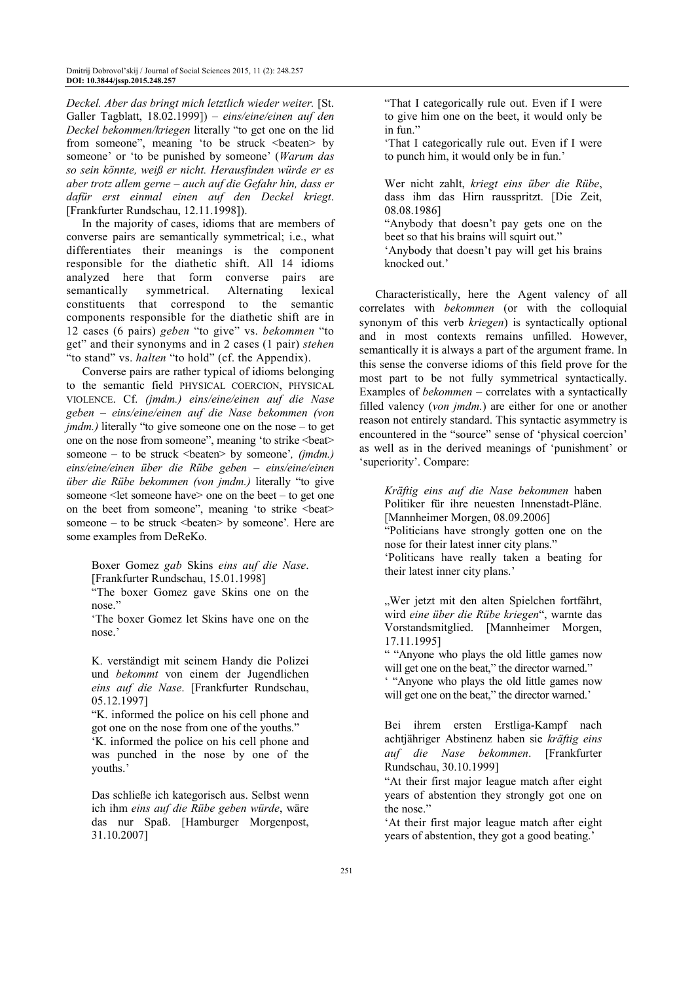*Deckel. Aber das bringt mich letztlich wieder weiter.* [St. Galler Tagblatt, 18.02.1999]) *– eins/eine/einen auf den Deckel bekommen/kriegen* literally "to get one on the lid from someone", meaning 'to be struck <br/>beaten> by someone' or 'to be punished by someone' (*Warum das so sein könnte, weiß er nicht. Herausfinden würde er es aber trotz allem gerne – auch auf die Gefahr hin, dass er dafür erst einmal einen auf den Deckel kriegt*. [Frankfurter Rundschau, 12.11.1998]).

In the majority of cases, idioms that are members of converse pairs are semantically symmetrical; i.e., what differentiates their meanings is the component responsible for the diathetic shift. All 14 idioms analyzed here that form converse pairs are semantically symmetrical. Alternating lexical constituents that correspond to the semantic components responsible for the diathetic shift are in 12 cases (6 pairs) *geben* "to give" vs. *bekommen* "to get" and their synonyms and in 2 cases (1 pair) *stehen*  "to stand" vs. *halten* "to hold" (cf. the Appendix).

Converse pairs are rather typical of idioms belonging to the semantic field PHYSICAL COERCION, PHYSICAL VIOLENCE. Cf. *(jmdm.) eins/eine/einen auf die Nase geben – eins/eine/einen auf die Nase bekommen (von jmdm.)* literally "to give someone one on the nose *–* to get one on the nose from someone", meaning 'to strike <beat> someone – to be struck <br/>beaten> by someone', (*jmdm.*) *eins/eine/einen über die Rübe geben – eins/eine/einen über die Rübe bekommen (von jmdm.)* literally "to give someone <let someone have> one on the beet *–* to get one on the beet from someone", meaning 'to strike <br/>beat> someone – to be struck <br/>beaten> by someone'. Here are some examples from DeReKo.

Boxer Gomez *gab* Skins *eins auf die Nase*. [Frankfurter Rundschau, 15.01.1998]

"The boxer Gomez gave Skins one on the nose."

'The boxer Gomez let Skins have one on the nose.'

K. verständigt mit seinem Handy die Polizei und *bekommt* von einem der Jugendlichen *eins auf die Nase*. [Frankfurter Rundschau, 05.12.1997]

"K. informed the police on his cell phone and got one on the nose from one of the youths."

'K. informed the police on his cell phone and was punched in the nose by one of the youths.'

Das schließe ich kategorisch aus. Selbst wenn ich ihm *eins auf die Rübe geben würde*, wäre das nur Spaß. [Hamburger Morgenpost, 31.10.2007]

"That I categorically rule out. Even if I were to give him one on the beet, it would only be in fun."

'That I categorically rule out. Even if I were to punch him, it would only be in fun.'

Wer nicht zahlt, *kriegt eins über die Rübe*, dass ihm das Hirn rausspritzt. [Die Zeit, 08.08.1986]

"Anybody that doesn't pay gets one on the beet so that his brains will squirt out."

'Anybody that doesn't pay will get his brains knocked out.'

Characteristically, here the Agent valency of all correlates with *bekommen* (or with the colloquial synonym of this verb *kriegen*) is syntactically optional and in most contexts remains unfilled. However, semantically it is always a part of the argument frame. In this sense the converse idioms of this field prove for the most part to be not fully symmetrical syntactically. Examples of *bekommen –* correlates with a syntactically filled valency (*von jmdm.*) are either for one or another reason not entirely standard. This syntactic asymmetry is encountered in the "source" sense of 'physical coercion' as well as in the derived meanings of 'punishment' or 'superiority'. Compare:

*Kräftig eins auf die Nase bekommen* haben Politiker für ihre neuesten Innenstadt-Pläne. [Mannheimer Morgen, 08.09.2006] "Politicians have strongly gotten one on the nose for their latest inner city plans." 'Politicans have really taken a beating for

"Wer jetzt mit den alten Spielchen fortfährt, wird *eine über die Rübe kriegen*", warnte das Vorstandsmitglied. [Mannheimer Morgen, 17.11.1995]

their latest inner city plans.'

" "Anyone who plays the old little games now will get one on the beat," the director warned."

' "Anyone who plays the old little games now will get one on the beat," the director warned.'

Bei ihrem ersten Erstliga-Kampf nach achtjähriger Abstinenz haben sie *kräftig eins auf die Nase bekommen*. [Frankfurter Rundschau, 30.10.1999]

"At their first major league match after eight years of abstention they strongly got one on the nose."

'At their first major league match after eight years of abstention, they got a good beating.'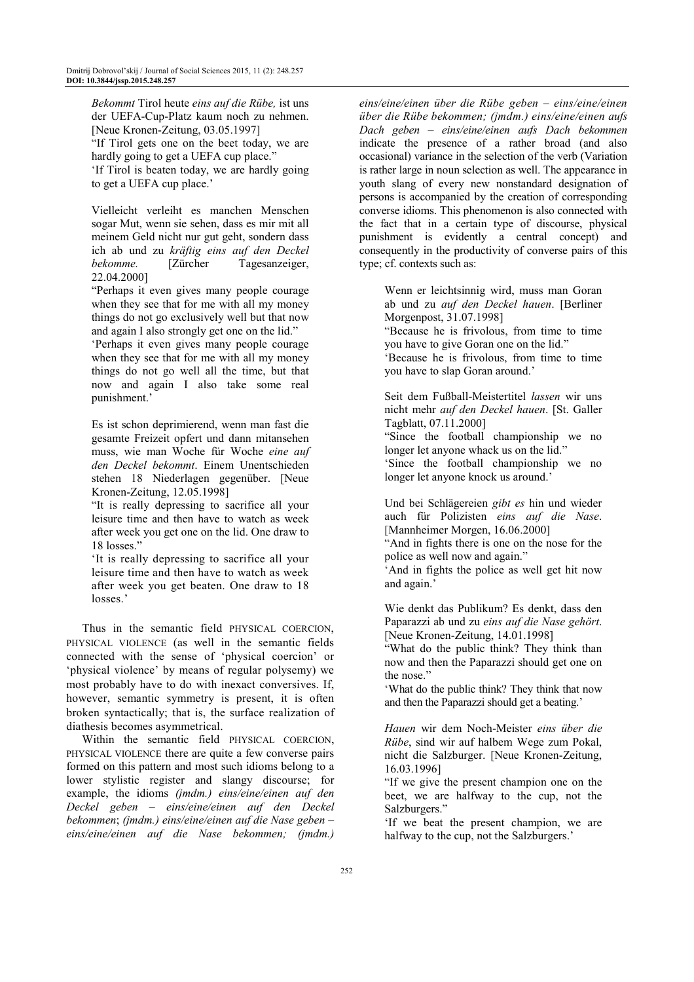*Bekommt* Tirol heute *eins auf die Rübe,* ist uns der UEFA-Cup-Platz kaum noch zu nehmen. [Neue Kronen-Zeitung, 03.05.1997] "If Tirol gets one on the beet today, we are hardly going to get a UEFA cup place." 'If Tirol is beaten today, we are hardly going to get a UEFA cup place.'

Vielleicht verleiht es manchen Menschen sogar Mut, wenn sie sehen, dass es mir mit all meinem Geld nicht nur gut geht, sondern dass ich ab und zu *kräftig eins auf den Deckel bekomme.* [Zürcher Tagesanzeiger, 22.04.2000]

"Perhaps it even gives many people courage when they see that for me with all my money things do not go exclusively well but that now and again I also strongly get one on the lid."

'Perhaps it even gives many people courage when they see that for me with all my money things do not go well all the time, but that now and again I also take some real punishment.'

Es ist schon deprimierend, wenn man fast die gesamte Freizeit opfert und dann mitansehen muss, wie man Woche für Woche *eine auf den Deckel bekommt*. Einem Unentschieden stehen 18 Niederlagen gegenüber. [Neue Kronen-Zeitung, 12.05.1998]

"It is really depressing to sacrifice all your leisure time and then have to watch as week after week you get one on the lid. One draw to 18 losses."

'It is really depressing to sacrifice all your leisure time and then have to watch as week after week you get beaten. One draw to 18 losses<sup>'</sup>

Thus in the semantic field PHYSICAL COERCION, PHYSICAL VIOLENCE (as well in the semantic fields connected with the sense of 'physical coercion' or 'physical violence' by means of regular polysemy) we most probably have to do with inexact conversives. If, however, semantic symmetry is present, it is often broken syntactically; that is, the surface realization of diathesis becomes asymmetrical.

Within the semantic field PHYSICAL COERCION, PHYSICAL VIOLENCE there are quite a few converse pairs formed on this pattern and most such idioms belong to a lower stylistic register and slangy discourse; for example, the idioms *(jmdm.) eins/eine/einen auf den Deckel geben – eins/eine/einen auf den Deckel bekommen*; *(jmdm.) eins/eine/einen auf die Nase geben – eins/eine/einen auf die Nase bekommen; (jmdm.)* 

*eins/eine/einen über die Rübe geben – eins/eine/einen über die Rübe bekommen; (jmdm.) eins/eine/einen aufs Dach geben – eins/eine/einen aufs Dach bekommen* indicate the presence of a rather broad (and also occasional) variance in the selection of the verb (Variation is rather large in noun selection as well. The appearance in youth slang of every new nonstandard designation of persons is accompanied by the creation of corresponding converse idioms. This phenomenon is also connected with the fact that in a certain type of discourse, physical punishment is evidently a central concept) and consequently in the productivity of converse pairs of this type; cf. contexts such as:

Wenn er leichtsinnig wird, muss man Goran ab und zu *auf den Deckel hauen*. [Berliner Morgenpost, 31.07.1998]

"Because he is frivolous, from time to time you have to give Goran one on the lid."

'Because he is frivolous, from time to time you have to slap Goran around.'

Seit dem Fußball-Meistertitel *lassen* wir uns nicht mehr *auf den Deckel hauen*. [St. Galler Tagblatt, 07.11.2000]

"Since the football championship we no longer let anyone whack us on the lid."

'Since the football championship we no longer let anyone knock us around.'

Und bei Schlägereien *gibt es* hin und wieder auch für Polizisten *eins auf die Nase*. [Mannheimer Morgen, 16.06.2000]

"And in fights there is one on the nose for the police as well now and again."

'And in fights the police as well get hit now and again.'

Wie denkt das Publikum? Es denkt, dass den Paparazzi ab und zu *eins auf die Nase gehört*. [Neue Kronen-Zeitung, 14.01.1998]

"What do the public think? They think than now and then the Paparazzi should get one on the nose."

'What do the public think? They think that now and then the Paparazzi should get a beating.'

*Hauen* wir dem Noch-Meister *eins über die Rübe*, sind wir auf halbem Wege zum Pokal, nicht die Salzburger. [Neue Kronen-Zeitung, 16.03.1996]

"If we give the present champion one on the beet, we are halfway to the cup, not the Salzburgers."

'If we beat the present champion, we are halfway to the cup, not the Salzburgers.'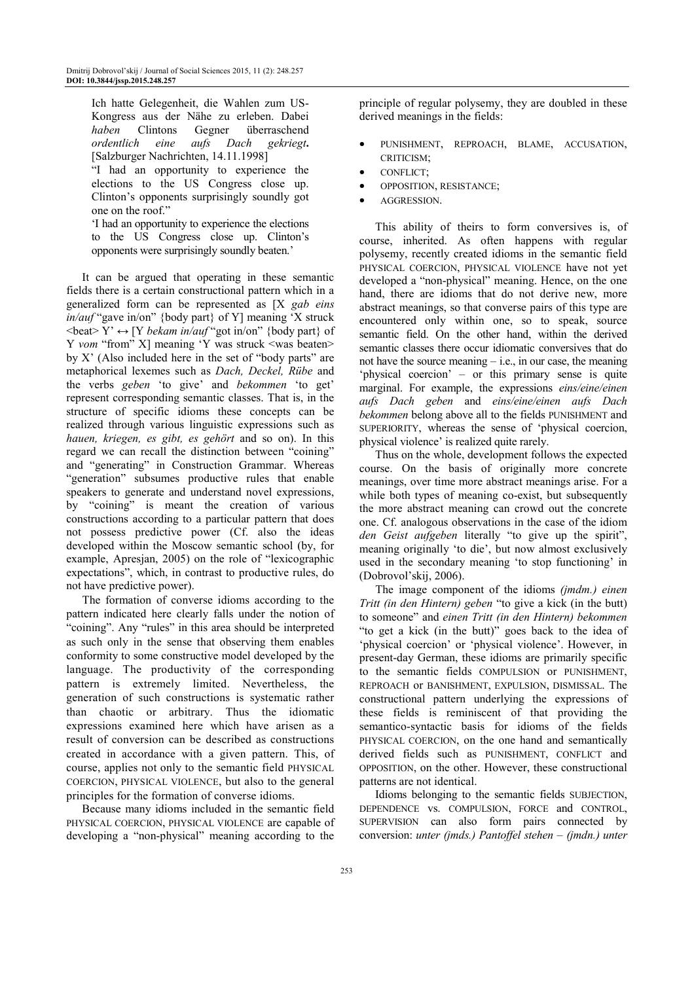Ich hatte Gelegenheit, die Wahlen zum US-Kongress aus der Nähe zu erleben. Dabei *haben* Clintons Gegner überraschend *ordentlich eine aufs Dach gekriegt***.**  [Salzburger Nachrichten, 14.11.1998]

"I had an opportunity to experience the elections to the US Congress close up. Clinton's opponents surprisingly soundly got one on the roof."

'I had an opportunity to experience the elections to the US Congress close up. Clinton's opponents were surprisingly soundly beaten.'

It can be argued that operating in these semantic fields there is a certain constructional pattern which in a generalized form can be represented as [X *gab eins in/auf* "gave in/on" {body part} of Y] meaning 'X struck  $\langle$ beat $\rangle$  Y'  $\leftrightarrow$  [Y *bekam in/auf* "got in/on" {body part} of Y *vom* "from" X] meaning 'Y was struck <was beaten> by  $X'$  (Also included here in the set of "body parts" are metaphorical lexemes such as *Dach, Deckel, Rübe* and the verbs *geben* 'to give' and *bekommen* 'to get' represent corresponding semantic classes. That is, in the structure of specific idioms these concepts can be realized through various linguistic expressions such as *hauen, kriegen, es gibt, es gehört* and so on). In this regard we can recall the distinction between "coining" and "generating" in Construction Grammar. Whereas "generation" subsumes productive rules that enable speakers to generate and understand novel expressions, by "coining" is meant the creation of various constructions according to a particular pattern that does not possess predictive power (Cf. also the ideas developed within the Moscow semantic school (by, for example, Apresjan, 2005) on the role of "lexicographic expectations", which, in contrast to productive rules, do not have predictive power).

The formation of converse idioms according to the pattern indicated here clearly falls under the notion of "coining". Any "rules" in this area should be interpreted as such only in the sense that observing them enables conformity to some constructive model developed by the language. The productivity of the corresponding pattern is extremely limited. Nevertheless, the generation of such constructions is systematic rather than chaotic or arbitrary. Thus the idiomatic expressions examined here which have arisen as a result of conversion can be described as constructions created in accordance with a given pattern. This, of course, applies not only to the semantic field PHYSICAL COERCION, PHYSICAL VIOLENCE, but also to the general principles for the formation of converse idioms.

Because many idioms included in the semantic field PHYSICAL COERCION, PHYSICAL VIOLENCE are capable of developing a "non-physical" meaning according to the

principle of regular polysemy, they are doubled in these derived meanings in the fields:

- PUNISHMENT, REPROACH, BLAME, ACCUSATION, CRITICISM;
- CONFLICT;
- OPPOSITION, RESISTANCE;
- AGGRESSION.

This ability of theirs to form conversives is, of course, inherited. As often happens with regular polysemy, recently created idioms in the semantic field PHYSICAL COERCION, PHYSICAL VIOLENCE have not yet developed a "non-physical" meaning. Hence, on the one hand, there are idioms that do not derive new, more abstract meanings, so that converse pairs of this type are encountered only within one, so to speak, source semantic field. On the other hand, within the derived semantic classes there occur idiomatic conversives that do not have the source meaning *–* i.e., in our case, the meaning 'physical coercion' *–* or this primary sense is quite marginal. For example, the expressions *eins/eine/einen aufs Dach geben* and *eins/eine/einen aufs Dach bekommen* belong above all to the fields PUNISHMENT and SUPERIORITY, whereas the sense of 'physical coercion, physical violence' is realized quite rarely.

Thus on the whole, development follows the expected course. On the basis of originally more concrete meanings, over time more abstract meanings arise. For a while both types of meaning co-exist, but subsequently the more abstract meaning can crowd out the concrete one. Cf. analogous observations in the case of the idiom *den Geist aufgeben* literally "to give up the spirit", meaning originally 'to die', but now almost exclusively used in the secondary meaning 'to stop functioning' in (Dobrovol'skij, 2006).

The image component of the idioms *(jmdm.) einen Tritt (in den Hintern) geben* "to give a kick (in the butt) to someone" and *einen Tritt (in den Hintern) bekommen* "to get a kick (in the butt)" goes back to the idea of 'physical coercion' or 'physical violence'. However, in present-day German, these idioms are primarily specific to the semantic fields COMPULSION or PUNISHMENT, REPROACH or BANISHMENT, EXPULSION, DISMISSAL. The constructional pattern underlying the expressions of these fields is reminiscent of that providing the semantico-syntactic basis for idioms of the fields PHYSICAL COERCION, on the one hand and semantically derived fields such as PUNISHMENT, CONFLICT and OPPOSITION, on the other. However, these constructional patterns are not identical.

Idioms belonging to the semantic fields SUBJECTION, DEPENDENCE vs. COMPULSION, FORCE and CONTROL, SUPERVISION can also form pairs connected by conversion: *unter (jmds.) Pantoffel stehen – (jmdn.) unter*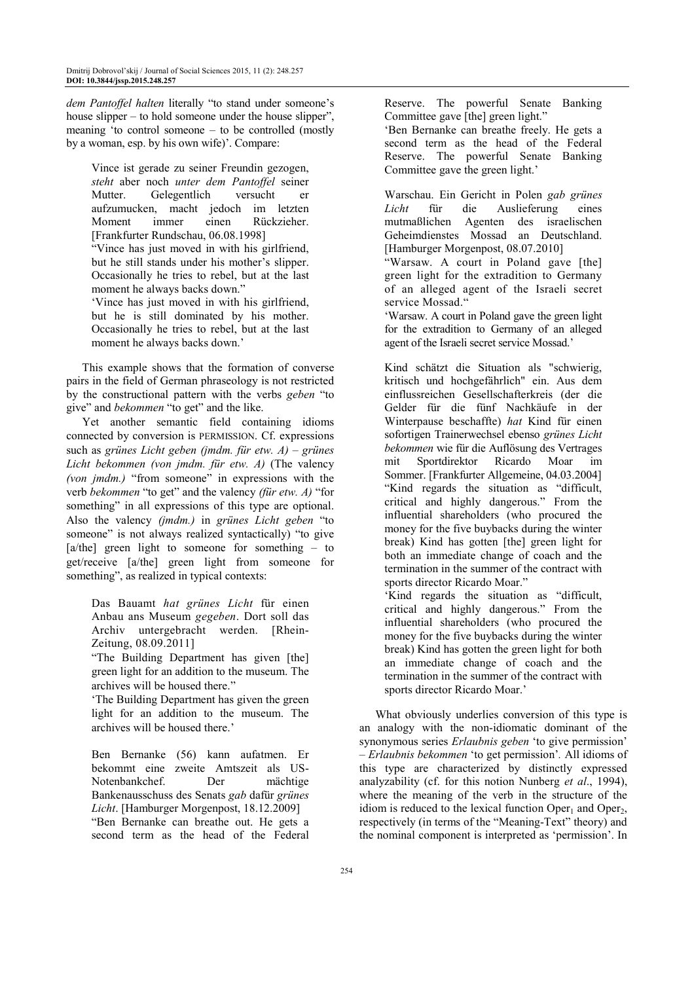*dem Pantoffel halten* literally "to stand under someone's house slipper *–* to hold someone under the house slipper", meaning 'to control someone *–* to be controlled (mostly by a woman, esp. by his own wife)'. Compare:

Vince ist gerade zu seiner Freundin gezogen, *steht* aber noch *unter dem Pantoffel* seiner Mutter. Gelegentlich versucht er aufzumucken, macht jedoch im letzten Moment immer einen Rückzieher. [Frankfurter Rundschau, 06.08.1998] "Vince has just moved in with his girlfriend, but he still stands under his mother's slipper. Occasionally he tries to rebel, but at the last moment he always backs down." 'Vince has just moved in with his girlfriend,

but he is still dominated by his mother. Occasionally he tries to rebel, but at the last moment he always backs down.'

This example shows that the formation of converse pairs in the field of German phraseology is not restricted by the constructional pattern with the verbs *geben* "to give" and *bekommen* "to get" and the like.

Yet another semantic field containing idioms connected by conversion is PERMISSION. Cf. expressions such as *grünes Licht geben (jmdm. für etw. A) – grünes Licht bekommen (von jmdm. für etw. A)* (The valency *(von jmdm.)* "from someone" in expressions with the verb *bekommen* "to get" and the valency *(für etw. A)* "for something" in all expressions of this type are optional. Also the valency *(jmdm.)* in *grünes Licht geben* "to someone" is not always realized syntactically) "to give [a/the] green light to someone for something *–* to get/receive [a/the] green light from someone for something", as realized in typical contexts:

Das Bauamt *hat grünes Licht* für einen Anbau ans Museum *gegeben*. Dort soll das Archiv untergebracht werden. [Rhein-Zeitung, 08.09.2011]

"The Building Department has given [the] green light for an addition to the museum. The archives will be housed there."

'The Building Department has given the green light for an addition to the museum. The archives will be housed there.'

Ben Bernanke (56) kann aufatmen. Er bekommt eine zweite Amtszeit als US-Notenbankchef. Der mächtige Bankenausschuss des Senats *gab* dafür *grünes Licht*. [Hamburger Morgenpost, 18.12.2009] "Ben Bernanke can breathe out. He gets a second term as the head of the Federal Reserve. The powerful Senate Banking Committee gave [the] green light." 'Ben Bernanke can breathe freely. He gets a

second term as the head of the Federal Reserve. The powerful Senate Banking Committee gave the green light.'

Warschau. Ein Gericht in Polen *gab grünes Licht* für die Auslieferung eines mutmaßlichen Agenten des israelischen Geheimdienstes Mossad an Deutschland. [Hamburger Morgenpost, 08.07.2010]

"Warsaw. A court in Poland gave [the] green light for the extradition to Germany of an alleged agent of the Israeli secret service Mossad."

'Warsaw. A court in Poland gave the green light for the extradition to Germany of an alleged agent of the Israeli secret service Mossad.'

Kind schätzt die Situation als "schwierig, kritisch und hochgefährlich" ein. Aus dem einflussreichen Gesellschafterkreis (der die Gelder für die fünf Nachkäufe in der Winterpause beschaffte) *hat* Kind für einen sofortigen Trainerwechsel ebenso *grünes Licht bekommen* wie für die Auflösung des Vertrages mit Sportdirektor Ricardo Moar im Sommer. [Frankfurter Allgemeine, 04.03.2004] "Kind regards the situation as "difficult, critical and highly dangerous." From the influential shareholders (who procured the money for the five buybacks during the winter break) Kind has gotten [the] green light for both an immediate change of coach and the termination in the summer of the contract with sports director Ricardo Moar."

'Kind regards the situation as "difficult, critical and highly dangerous." From the influential shareholders (who procured the money for the five buybacks during the winter break) Kind has gotten the green light for both an immediate change of coach and the termination in the summer of the contract with sports director Ricardo Moar.'

What obviously underlies conversion of this type is an analogy with the non-idiomatic dominant of the synonymous series *Erlaubnis geben* 'to give permission' *– Erlaubnis bekommen* 'to get permission'*.* All idioms of this type are characterized by distinctly expressed analyzability (cf. for this notion Nunberg *et al*., 1994), where the meaning of the verb in the structure of the idiom is reduced to the lexical function Oper<sub>1</sub> and Oper<sub>2</sub>, respectively (in terms of the "Meaning-Text" theory) and the nominal component is interpreted as 'permission'. In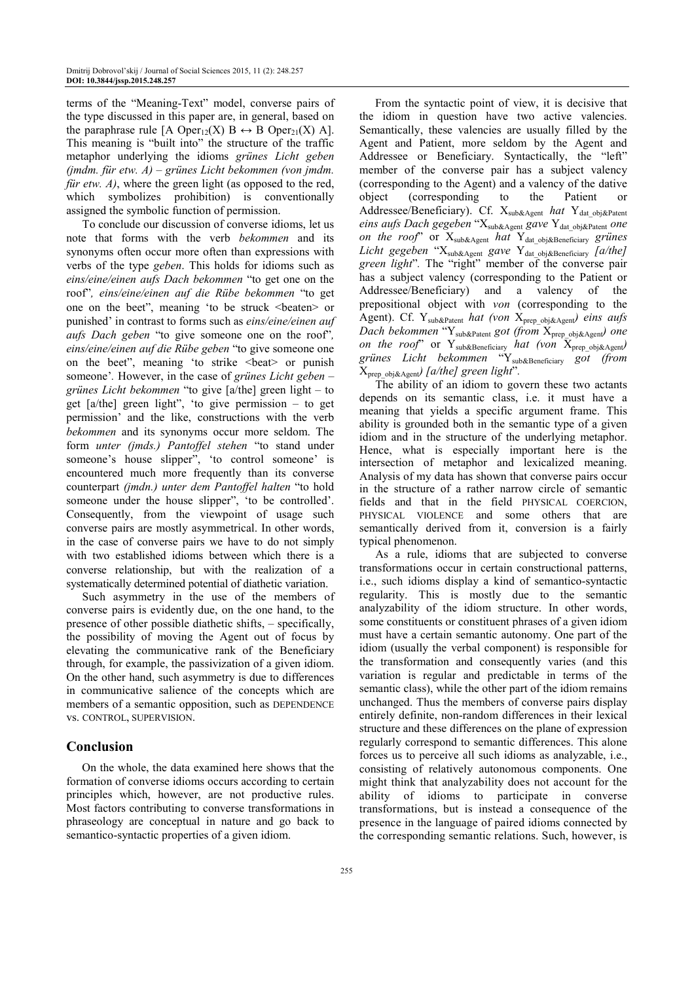terms of the "Meaning-Text" model, converse pairs of the type discussed in this paper are, in general, based on the paraphrase rule [A Oper<sub>12</sub>(X) B  $\leftrightarrow$  B Oper<sub>21</sub>(X) A]. This meaning is "built into" the structure of the traffic metaphor underlying the idioms *grünes Licht geben (jmdm. für etw. A) – grünes Licht bekommen (von jmdm. für etw. A)*, where the green light (as opposed to the red, which symbolizes prohibition) is conventionally assigned the symbolic function of permission.

To conclude our discussion of converse idioms, let us note that forms with the verb *bekommen* and its synonyms often occur more often than expressions with verbs of the type *geben*. This holds for idioms such as *eins/eine/einen aufs Dach bekommen* "to get one on the roof"*, eins/eine/einen auf die Rübe bekommen* "to get one on the beet", meaning 'to be struck <br/>beaten> or punished' in contrast to forms such as *eins/eine/einen auf aufs Dach geben* "to give someone one on the roof"*, eins/eine/einen auf die Rübe geben* "to give someone one on the beet", meaning 'to strike <beat> or punish someone'*.* However, in the case of *grünes Licht geben – grünes Licht bekommen* "to give [a/the] green light *–* to get [a/the] green light", 'to give permission *–* to get permission' and the like, constructions with the verb *bekommen* and its synonyms occur more seldom. The form *unter (jmds.) Pantoffel stehen* "to stand under someone's house slipper", 'to control someone' is encountered much more frequently than its converse counterpart *(jmdn.) unter dem Pantoffel halten* "to hold someone under the house slipper", 'to be controlled'. Consequently, from the viewpoint of usage such converse pairs are mostly asymmetrical. In other words, in the case of converse pairs we have to do not simply with two established idioms between which there is a converse relationship, but with the realization of a systematically determined potential of diathetic variation.

Such asymmetry in the use of the members of converse pairs is evidently due, on the one hand, to the presence of other possible diathetic shifts, *–* specifically, the possibility of moving the Agent out of focus by elevating the communicative rank of the Beneficiary through, for example, the passivization of a given idiom. On the other hand, such asymmetry is due to differences in communicative salience of the concepts which are members of a semantic opposition, such as DEPENDENCE vs. CONTROL, SUPERVISION.

# **Conclusion**

On the whole, the data examined here shows that the formation of converse idioms occurs according to certain principles which, however, are not productive rules. Most factors contributing to converse transformations in phraseology are conceptual in nature and go back to semantico-syntactic properties of a given idiom.

From the syntactic point of view, it is decisive that the idiom in question have two active valencies. Semantically, these valencies are usually filled by the Agent and Patient, more seldom by the Agent and Addressee or Beneficiary. Syntactically, the "left" member of the converse pair has a subject valency (corresponding to the Agent) and a valency of the dative object (corresponding to the Patient or Addressee/Beneficiary). Cf. X<sub>sub&Agent</sub> hat Y<sub>dat obj&Patent</sub> *eins aufs Dach gegeben* "Xsub&Agent *gave* Ydat\_obj&Patent *one on the roof*" or Xsub&Agent *hat* Ydat\_obj&Beneficiary *grünes*  Licht gegeben "X<sub>sub&Agent</sub> *gave* Y<sub>dat obj&Beneficiary</sub> [a/the] *green light*"*.* The "right" member of the converse pair has a subject valency (corresponding to the Patient or Addressee/Beneficiary) and a valency of the prepositional object with *von* (corresponding to the Agent). Cf. Ysub&Patent *hat (von* Xprep\_obj&Agent*) eins aufs Dach bekommen* "Ysub&Patent *got (from* Xprep\_obj&Agent*) one on the roof*" or  $Y_{sub&Beneficiary}$  *hat (von*  $X_{prep\;obj&Agent}$ ) *grünes Licht bekommen* "Ysub&Beneficiary *got (from* Xprep\_obj&Agent*) [a/the] green light*"*.* The ability of an idiom to govern these two actants

depends on its semantic class, i.e. it must have a meaning that yields a specific argument frame. This ability is grounded both in the semantic type of a given idiom and in the structure of the underlying metaphor. Hence, what is especially important here is the intersection of metaphor and lexicalized meaning. Analysis of my data has shown that converse pairs occur in the structure of a rather narrow circle of semantic fields and that in the field PHYSICAL COERCION, PHYSICAL VIOLENCE and some others that are semantically derived from it, conversion is a fairly typical phenomenon.

As a rule, idioms that are subjected to converse transformations occur in certain constructional patterns, i.e., such idioms display a kind of semantico-syntactic regularity. This is mostly due to the semantic analyzability of the idiom structure. In other words, some constituents or constituent phrases of a given idiom must have a certain semantic autonomy. One part of the idiom (usually the verbal component) is responsible for the transformation and consequently varies (and this variation is regular and predictable in terms of the semantic class), while the other part of the idiom remains unchanged. Thus the members of converse pairs display entirely definite, non-random differences in their lexical structure and these differences on the plane of expression regularly correspond to semantic differences. This alone forces us to perceive all such idioms as analyzable, i.e., consisting of relatively autonomous components. One might think that analyzability does not account for the ability of idioms to participate in converse transformations, but is instead a consequence of the presence in the language of paired idioms connected by the corresponding semantic relations. Such, however, is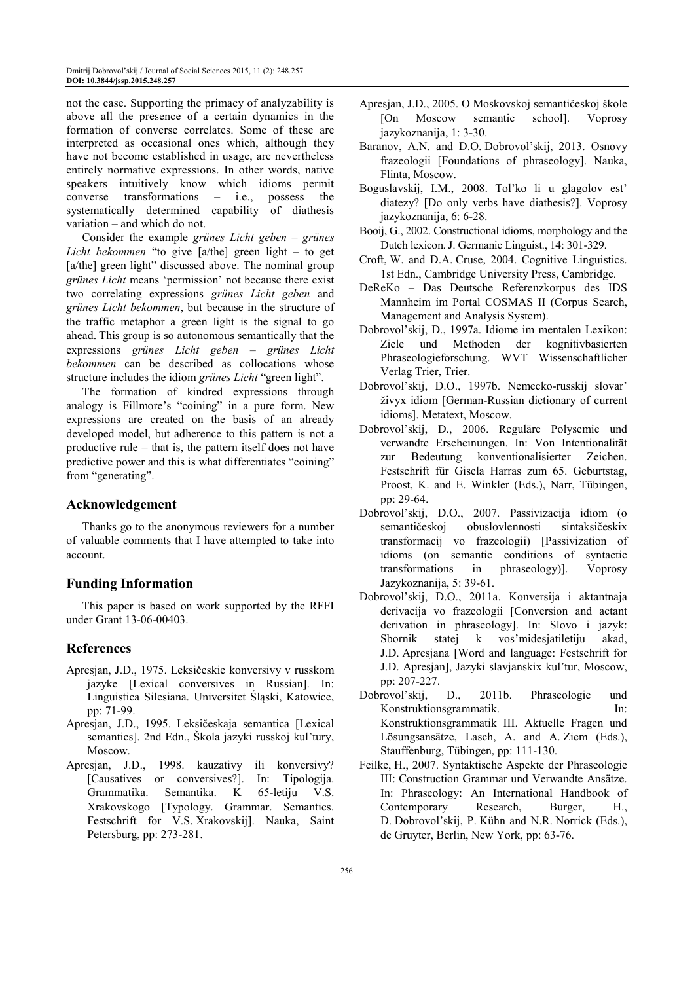not the case. Supporting the primacy of analyzability is above all the presence of a certain dynamics in the formation of converse correlates. Some of these are interpreted as occasional ones which, although they have not become established in usage, are nevertheless entirely normative expressions. In other words, native speakers intuitively know which idioms permit converse transformations *–* i.e., possess the systematically determined capability of diathesis variation *–* and which do not.

Consider the example *grünes Licht geben – grünes Licht bekommen* "to give [a/the] green light *–* to get [a/the] green light" discussed above. The nominal group *grünes Licht* means 'permission' not because there exist two correlating expressions *grünes Licht geben* and *grünes Licht bekommen*, but because in the structure of the traffic metaphor a green light is the signal to go ahead. This group is so autonomous semantically that the expressions *grünes Licht geben – grünes Licht bekommen* can be described as collocations whose structure includes the idiom *grünes Licht* "green light".

The formation of kindred expressions through analogy is Fillmore's "coining" in a pure form. New expressions are created on the basis of an already developed model, but adherence to this pattern is not a productive rule *–* that is, the pattern itself does not have predictive power and this is what differentiates "coining" from "generating".

## **Acknowledgement**

Thanks go to the anonymous reviewers for a number of valuable comments that I have attempted to take into account.

# **Funding Information**

This paper is based on work supported by the RFFI under Grant 13-06-00403.

# **References**

- Apresjan, J.D., 1975. Leksičeskie konversivy v russkom jazyke [Lexical conversives in Russian]. In: Linguistica Silesiana. Universitet Śląski, Katowice, pp: 71-99.
- Apresjan, J.D., 1995. Leksičeskaja semantica [Lexical semantics]. 2nd Edn., Škola jazyki russkoj kul'tury, Moscow.
- Apresjan, J.D., 1998. kauzativy ili konversivy? [Causatives or conversives?]. In: Tipologija. Grammatika. Semantika. K 65-letiju V.S. Xrakovskogo [Typology. Grammar. Semantics. Festschrift for V.S. Xrakovskij]. Nauka, Saint Petersburg, pp: 273-281.
- Apresjan, J.D., 2005. O Moskovskoj semantičeskoj škole [On Moscow semantic school]. Voprosy jazykoznanija, 1: 3-30.
- Baranov, A.N. and D.O. Dobrovol'skij, 2013. Osnovy frazeologii [Foundations of phraseology]. Nauka, Flinta, Moscow.
- Boguslavskij, I.M., 2008. Tol'ko li u glagolov est' diatezy? [Do only verbs have diathesis?]. Voprosy jazykoznanija, 6: 6-28.
- Booij, G., 2002. Constructional idioms, morphology and the Dutch lexicon. J. Germanic Linguist., 14: 301-329.
- Croft, W. and D.A. Cruse, 2004. Cognitive Linguistics. 1st Edn., Cambridge University Press, Cambridge.
- DeReKo *–* Das Deutsche Referenzkorpus des IDS Mannheim im Portal COSMAS II (Corpus Search, Management and Analysis System).
- Dobrovol'skij, D., 1997a. Idiome im mentalen Lexikon: Ziele und Methoden der kognitivbasierten Phraseologieforschung. WVT Wissenschaftlicher Verlag Trier, Trier.
- Dobrovol'skij, D.O., 1997b. Nemecko-russkij slovar' živyx idiom [German-Russian dictionary of current idioms]. Metatext, Moscow.
- Dobrovol'skij, D., 2006. Reguläre Polysemie und verwandte Erscheinungen. In: Von Intentionalität zur Bedeutung konventionalisierter Zeichen. Festschrift für Gisela Harras zum 65. Geburtstag, Proost, K. and E. Winkler (Eds.), Narr, Tübingen, pp: 29-64.
- Dobrovol'skij, D.O., 2007. Passivizacija idiom (o semantičeskoj obuslovlennosti sintaksičeskix transformacij vo frazeologii) [Passivization of idioms (on semantic conditions of syntactic transformations in phraseology)]. Voprosy Jazykoznanija, 5: 39-61.
- Dobrovol'skij, D.O., 2011a. Konversija i aktantnaja derivacija vo frazeologii [Conversion and actant derivation in phraseology]. In: Slovo i jazyk: Sbornik statej k vos'midesjatiletiju akad, J.D. Apresjana [Word and language: Festschrift for J.D. Apresjan], Jazyki slavjanskix kul'tur, Moscow, pp: 207-227.
- Dobrovol'skij, D., 2011b. Phraseologie und Konstruktionsgrammatik. In: Konstruktionsgrammatik III. Aktuelle Fragen und Lösungsansätze, Lasch, A. and A. Ziem (Eds.), Stauffenburg, Tübingen, pp: 111-130.
- Feilke, H., 2007. Syntaktische Aspekte der Phraseologie III: Construction Grammar und Verwandte Ansätze. In: Phraseology: An International Handbook of Contemporary Research, Burger, H., D. Dobrovol'skij, P. Kühn and N.R. Norrick (Eds.), de Gruyter, Berlin, New York, pp: 63-76.